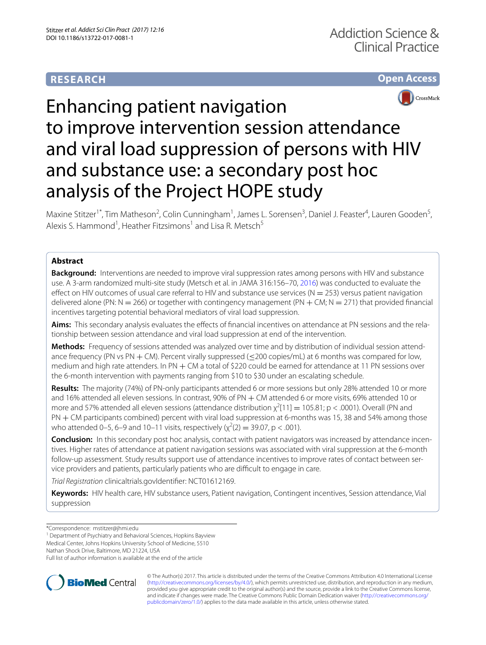# **RESEARCH**





# Enhancing patient navigation to improve intervention session attendance and viral load suppression of persons with HIV and substance use: a secondary post hoc analysis of the Project HOPE study

Maxine Stitzer<sup>1\*</sup>, Tim Matheson<sup>2</sup>, Colin Cunningham<sup>1</sup>, James L. Sorensen<sup>3</sup>, Daniel J. Feaster<sup>4</sup>, Lauren Gooden<sup>5</sup>, Alexis S. Hammond<sup>1</sup>, Heather Fitzsimons<sup>1</sup> and Lisa R. Metsch<sup>5</sup>

# **Abstract**

**Background:** Interventions are needed to improve viral suppression rates among persons with HIV and substance use. A 3-arm randomized multi-site study (Metsch et al. in JAMA 316:156–70, [2016](#page-4-0)) was conducted to evaluate the effect on HIV outcomes of usual care referral to HIV and substance use services ( $N = 253$ ) versus patient navigation delivered alone (PN:  $N = 266$ ) or together with contingency management (PN  $+$  CM;  $N = 271$ ) that provided financial incentives targeting potential behavioral mediators of viral load suppression.

**Aims:** This secondary analysis evaluates the efects of fnancial incentives on attendance at PN sessions and the relationship between session attendance and viral load suppression at end of the intervention.

**Methods:** Frequency of sessions attended was analyzed over time and by distribution of individual session attendance frequency (PN vs PN  $+$  CM). Percent virally suppressed ( $\leq$ 200 copies/mL) at 6 months was compared for low, medium and high rate attenders. In PN  $+$  CM a total of \$220 could be earned for attendance at 11 PN sessions over the 6-month intervention with payments ranging from \$10 to \$30 under an escalating schedule.

**Results:** The majority (74%) of PN-only participants attended 6 or more sessions but only 28% attended 10 or more and 16% attended all eleven sessions. In contrast, 90% of PN + CM attended 6 or more visits, 69% attended 10 or more and 57% attended all eleven sessions (attendance distribution  $\chi^2[11] = 105.81$ ; p < .0001). Overall (PN and PN + CM participants combined) percent with viral load suppression at 6-months was 15, 38 and 54% among those who attended 0–5, 6–9 and 10–11 visits, respectively ( $\chi^2(2) = 39.07$ , p < .001).

**Conclusion:** In this secondary post hoc analysis, contact with patient navigators was increased by attendance incentives. Higher rates of attendance at patient navigation sessions was associated with viral suppression at the 6-month follow-up assessment. Study results support use of attendance incentives to improve rates of contact between service providers and patients, particularly patients who are difficult to engage in care.

*Trial Registration* clinicaltrials.govIdentifer: NCT01612169.

**Keywords:** HIV health care, HIV substance users, Patient navigation, Contingent incentives, Session attendance, Vial suppression

Medical Center, Johns Hopkins University School of Medicine, 5510

Nathan Shock Drive, Baltimore, MD 21224, USA

Full list of author information is available at the end of the article



© The Author(s) 2017. This article is distributed under the terms of the Creative Commons Attribution 4.0 International License [\(http://creativecommons.org/licenses/by/4.0/\)](http://creativecommons.org/licenses/by/4.0/), which permits unrestricted use, distribution, and reproduction in any medium, provided you give appropriate credit to the original author(s) and the source, provide a link to the Creative Commons license, and indicate if changes were made. The Creative Commons Public Domain Dedication waiver ([http://creativecommons.org/](http://creativecommons.org/publicdomain/zero/1.0/) [publicdomain/zero/1.0/](http://creativecommons.org/publicdomain/zero/1.0/)) applies to the data made available in this article, unless otherwise stated.

<sup>\*</sup>Correspondence: mstitzer@jhmi.edu

<sup>&</sup>lt;sup>1</sup> Department of Psychiatry and Behavioral Sciences, Hopkins Bayview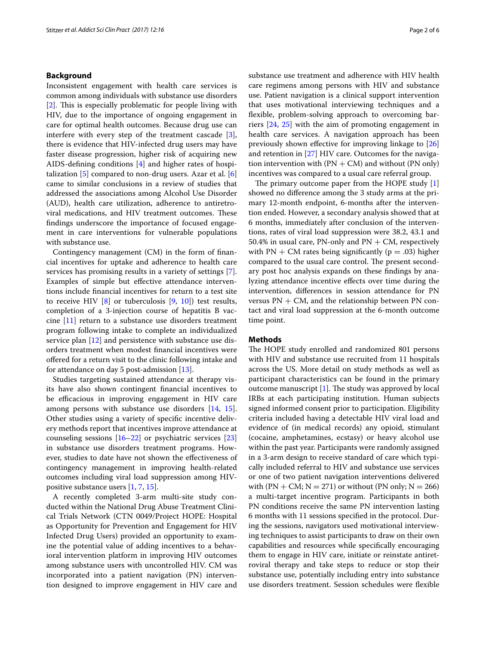# **Background**

Inconsistent engagement with health care services is common among individuals with substance use disorders  $[2]$  $[2]$ . This is especially problematic for people living with HIV, due to the importance of ongoing engagement in care for optimal health outcomes. Because drug use can interfere with every step of the treatment cascade [\[3](#page-4-2)], there is evidence that HIV-infected drug users may have faster disease progression, higher risk of acquiring new AIDS-defning conditions [[4\]](#page-4-3) and higher rates of hospitalization  $[5]$  $[5]$  compared to non-drug users. Azar et al.  $[6]$  $[6]$ came to similar conclusions in a review of studies that addressed the associations among Alcohol Use Disorder (AUD), health care utilization, adherence to antiretroviral medications, and HIV treatment outcomes. These fndings underscore the importance of focused engagement in care interventions for vulnerable populations with substance use.

Contingency management (CM) in the form of fnancial incentives for uptake and adherence to health care services has promising results in a variety of settings [\[7](#page-5-1)]. Examples of simple but efective attendance interventions include fnancial incentives for return to a test site to receive HIV  $[8]$  $[8]$  or tuberculosis  $[9, 10]$  $[9, 10]$  $[9, 10]$  $[9, 10]$ ) test results, completion of a 3-injection course of hepatitis B vaccine [[11](#page-5-5)] return to a substance use disorders treatment program following intake to complete an individualized service plan [[12\]](#page-5-6) and persistence with substance use disorders treatment when modest fnancial incentives were ofered for a return visit to the clinic following intake and for attendance on day 5 post-admission [\[13](#page-5-7)].

Studies targeting sustained attendance at therapy visits have also shown contingent fnancial incentives to be efficacious in improving engagement in HIV care among persons with substance use disorders [\[14](#page-5-8), [15](#page-5-9)]. Other studies using a variety of specifc incentive delivery methods report that incentives improve attendance at counseling sessions  $[16–22]$  $[16–22]$  or psychiatric services  $[23]$  $[23]$  $[23]$ in substance use disorders treatment programs. However, studies to date have not shown the efectiveness of contingency management in improving health-related outcomes including viral load suppression among HIVpositive substance users [\[1](#page-4-0), [7,](#page-5-1) [15\]](#page-5-9).

A recently completed 3-arm multi-site study conducted within the National Drug Abuse Treatment Clinical Trials Network (CTN 0049/Project HOPE: Hospital as Opportunity for Prevention and Engagement for HIV Infected Drug Users) provided an opportunity to examine the potential value of adding incentives to a behavioral intervention platform in improving HIV outcomes among substance users with uncontrolled HIV. CM was incorporated into a patient navigation (PN) intervention designed to improve engagement in HIV care and substance use treatment and adherence with HIV health care regimens among persons with HIV and substance use. Patient navigation is a clinical support intervention that uses motivational interviewing techniques and a fexible, problem-solving approach to overcoming barriers [[24,](#page-5-13) [25](#page-5-14)] with the aim of promoting engagement in health care services. A navigation approach has been previously shown efective for improving linkage to [[26](#page-5-15)] and retention in [\[27](#page-5-16)] HIV care. Outcomes for the navigation intervention with  $(PN + CM)$  and without  $(PN \text{ only})$ incentives was compared to a usual care referral group.

The primary outcome paper from the HOPE study  $[1]$  $[1]$ showed no diference among the 3 study arms at the primary 12-month endpoint, 6-months after the intervention ended. However, a secondary analysis showed that at 6 months, immediately after conclusion of the interventions, rates of viral load suppression were 38.2, 43.1 and 50.4% in usual care, PN-only and  $PN + CM$ , respectively with  $PN + CM$  rates being significantly ( $p = .03$ ) higher compared to the usual care control. The present secondary post hoc analysis expands on these fndings by analyzing attendance incentive efects over time during the intervention, diferences in session attendance for PN versus  $PN + CM$ , and the relationship between PN contact and viral load suppression at the 6-month outcome time point.

## **Methods**

The HOPE study enrolled and randomized 801 persons with HIV and substance use recruited from 11 hospitals across the US. More detail on study methods as well as participant characteristics can be found in the primary outcome manuscript  $[1]$  $[1]$ . The study was approved by local IRBs at each participating institution. Human subjects signed informed consent prior to participation. Eligibility criteria included having a detectable HIV viral load and evidence of (in medical records) any opioid, stimulant (cocaine, amphetamines, ecstasy) or heavy alcohol use within the past year. Participants were randomly assigned in a 3-arm design to receive standard of care which typically included referral to HIV and substance use services or one of two patient navigation interventions delivered with  $(PN + CM; N = 271)$  or without  $(PN \text{ only}; N = 266)$ a multi-target incentive program. Participants in both PN conditions receive the same PN intervention lasting 6 months with 11 sessions specifed in the protocol. During the sessions, navigators used motivational interviewing techniques to assist participants to draw on their own capabilities and resources while specifcally encouraging them to engage in HIV care, initiate or reinstate antiretroviral therapy and take steps to reduce or stop their substance use, potentially including entry into substance use disorders treatment. Session schedules were fexible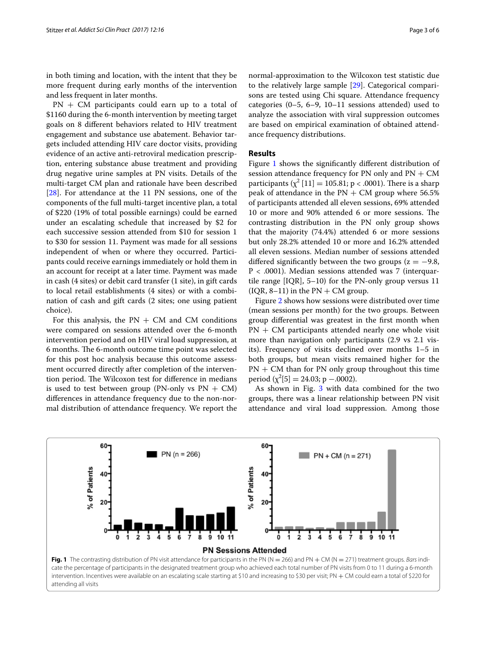in both timing and location, with the intent that they be more frequent during early months of the intervention and less frequent in later months.

 $PN + CM$  participants could earn up to a total of \$1160 during the 6-month intervention by meeting target goals on 8 diferent behaviors related to HIV treatment engagement and substance use abatement. Behavior targets included attending HIV care doctor visits, providing evidence of an active anti-retroviral medication prescription, entering substance abuse treatment and providing drug negative urine samples at PN visits. Details of the multi-target CM plan and rationale have been described [[28\]](#page-5-17). For attendance at the 11 PN sessions, one of the components of the full multi-target incentive plan, a total of \$220 (19% of total possible earnings) could be earned under an escalating schedule that increased by \$2 for each successive session attended from \$10 for session 1 to \$30 for session 11. Payment was made for all sessions independent of when or where they occurred. Participants could receive earnings immediately or hold them in an account for receipt at a later time. Payment was made in cash (4 sites) or debit card transfer (1 site), in gift cards to local retail establishments (4 sites) or with a combination of cash and gift cards (2 sites; one using patient choice).

For this analysis, the  $PN + CM$  and CM conditions were compared on sessions attended over the 6-month intervention period and on HIV viral load suppression, at 6 months. The 6-month outcome time point was selected for this post hoc analysis because this outcome assessment occurred directly after completion of the intervention period. The Wilcoxon test for difference in medians is used to test between group (PN-only vs  $PN + CM$ ) diferences in attendance frequency due to the non-normal distribution of attendance frequency. We report the normal-approximation to the Wilcoxon test statistic due to the relatively large sample [\[29\]](#page-5-18). Categorical comparisons are tested using Chi square. Attendance frequency categories (0–5, 6–9, 10–11 sessions attended) used to analyze the association with viral suppression outcomes are based on empirical examination of obtained attendance frequency distributions.

## **Results**

Figure [1](#page-2-0) shows the signifcantly diferent distribution of session attendance frequency for PN only and  $PN + CM$ participants ( $\chi^2$  [11] = 105.81; p < .0001). There is a sharp peak of attendance in the  $PN + CM$  group where 56.5% of participants attended all eleven sessions, 69% attended 10 or more and 90% attended 6 or more sessions. The contrasting distribution in the PN only group shows that the majority (74.4%) attended 6 or more sessions but only 28.2% attended 10 or more and 16.2% attended all eleven sessions. Median number of sessions attended differed significantly between the two groups ( $z = -9.8$ ,  $P < .0001$ ). Median sessions attended was 7 (interquartile range [IQR], 5–10) for the PN-only group versus 11  $( IQR, 8-11)$  in the  $PN + CM$  group.

Figure [2](#page-3-0) shows how sessions were distributed over time (mean sessions per month) for the two groups. Between group diferential was greatest in the frst month when  $PN + CM$  participants attended nearly one whole visit more than navigation only participants (2.9 vs 2.1 visits). Frequency of visits declined over months 1–5 in both groups, but mean visits remained higher for the  $PN + CM$  than for PN only group throughout this time period ( $\chi^2[5] = 24.03;$  p –.0002).

As shown in Fig. [3](#page-3-1) with data combined for the two groups, there was a linear relationship between PN visit attendance and viral load suppression. Among those

<span id="page-2-0"></span>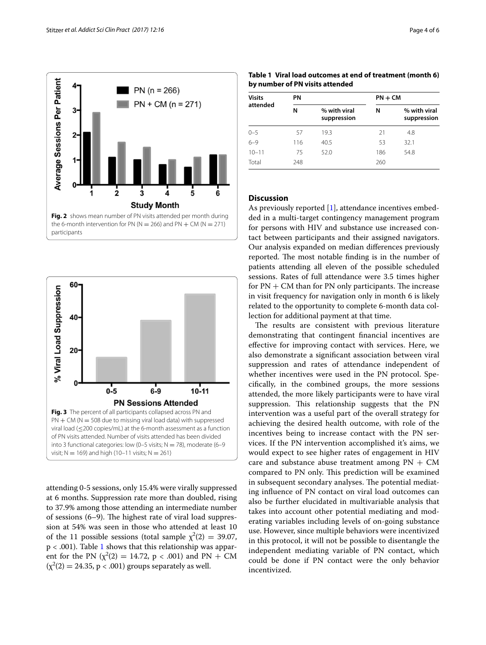

<span id="page-3-0"></span>

<span id="page-3-1"></span>attending 0-5 sessions, only 15.4% were virally suppressed at 6 months. Suppression rate more than doubled, rising to 37.9% among those attending an intermediate number of sessions  $(6-9)$ . The highest rate of viral load suppression at 54% was seen in those who attended at least 10 of the 11 possible sessions (total sample  $\chi^2(2) = 39.07$ ,  $p < .001$ ). Table [1](#page-3-2) shows that this relationship was apparent for the PN ( $\chi^2(2) = 14.72$ , p < .001) and PN + CM  $(\chi^2(2) = 24.35, p < .001)$  groups separately as well.

<span id="page-3-2"></span>

| Visits<br>attended | PN  |                             | $PN + CM$ |                             |
|--------------------|-----|-----------------------------|-----------|-----------------------------|
|                    | N   | % with viral<br>suppression | N         | % with viral<br>suppression |
| $0 - 5$            | 57  | 19.3                        | 21        | 4.8                         |
| $6 - 9$            | 116 | 40.5                        | 53        | 32.1                        |
| $10 - 11$          | 75  | 52.0                        | 186       | 54.8                        |
| Total              | 248 |                             | 260       |                             |

# **Discussion**

As previously reported [[1\]](#page-4-0), attendance incentives embedded in a multi-target contingency management program for persons with HIV and substance use increased contact between participants and their assigned navigators. Our analysis expanded on median diferences previously reported. The most notable finding is in the number of patients attending all eleven of the possible scheduled sessions. Rates of full attendance were 3.5 times higher for  $PN + CM$  than for  $PN$  only participants. The increase in visit frequency for navigation only in month 6 is likely related to the opportunity to complete 6-month data collection for additional payment at that time.

The results are consistent with previous literature demonstrating that contingent fnancial incentives are efective for improving contact with services. Here, we also demonstrate a signifcant association between viral suppression and rates of attendance independent of whether incentives were used in the PN protocol. Specifcally, in the combined groups, the more sessions attended, the more likely participants were to have viral suppression. This relationship suggests that the PN intervention was a useful part of the overall strategy for achieving the desired health outcome, with role of the incentives being to increase contact with the PN services. If the PN intervention accomplished it's aims, we would expect to see higher rates of engagement in HIV care and substance abuse treatment among  $PN + CM$ compared to PN only. This prediction will be examined in subsequent secondary analyses. The potential mediating infuence of PN contact on viral load outcomes can also be further elucidated in multivariable analysis that takes into account other potential mediating and moderating variables including levels of on-going substance use. However, since multiple behaviors were incentivized in this protocol, it will not be possible to disentangle the independent mediating variable of PN contact, which could be done if PN contact were the only behavior incentivized.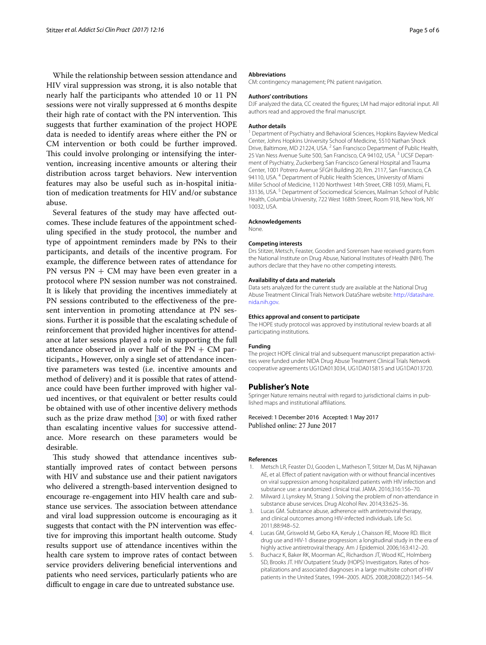While the relationship between session attendance and HIV viral suppression was strong, it is also notable that nearly half the participants who attended 10 or 11 PN sessions were not virally suppressed at 6 months despite their high rate of contact with the PN intervention. This suggests that further examination of the project HOPE data is needed to identify areas where either the PN or CM intervention or both could be further improved. This could involve prolonging or intensifying the intervention, increasing incentive amounts or altering their distribution across target behaviors. New intervention features may also be useful such as in-hospital initiation of medication treatments for HIV and/or substance abuse.

Several features of the study may have afected outcomes. These include features of the appointment scheduling specifed in the study protocol, the number and type of appointment reminders made by PNs to their participants, and details of the incentive program. For example, the diference between rates of attendance for PN versus  $PN + CM$  may have been even greater in a protocol where PN session number was not constrained. It is likely that providing the incentives immediately at PN sessions contributed to the efectiveness of the present intervention in promoting attendance at PN sessions. Further it is possible that the escalating schedule of reinforcement that provided higher incentives for attendance at later sessions played a role in supporting the full attendance observed in over half of the  $PN + CM$  participants., However, only a single set of attendance incentive parameters was tested (i.e. incentive amounts and method of delivery) and it is possible that rates of attendance could have been further improved with higher valued incentives, or that equivalent or better results could be obtained with use of other incentive delivery methods such as the prize draw method [\[30](#page-5-19)] or with fixed rather than escalating incentive values for successive attendance. More research on these parameters would be desirable.

This study showed that attendance incentives substantially improved rates of contact between persons with HIV and substance use and their patient navigators who delivered a strength-based intervention designed to encourage re-engagement into HIV health care and substance use services. The association between attendance and viral load suppression outcome is encouraging as it suggests that contact with the PN intervention was efective for improving this important health outcome. Study results support use of attendance incentives within the health care system to improve rates of contact between service providers delivering benefcial interventions and patients who need services, particularly patients who are difficult to engage in care due to untreated substance use.

#### **Abbreviations**

CM: contingency management; PN: patient navigation.

### **Authors' contributions**

DJF analyzed the data, CC created the fgures; LM had major editorial input. All authors read and approved the fnal manuscript.

#### **Author details**

<sup>1</sup> Department of Psychiatry and Behavioral Sciences, Hopkins Bayview Medical Center, Johns Hopkins University School of Medicine, 5510 Nathan Shock Drive, Baltimore, MD 21224, USA. <sup>2</sup> San Francisco Department of Public Health, 25 Van Ness Avenue Suite 500, San Francisco, CA 94102, USA.<sup>3</sup> UCSF Department of Psychiatry, Zuckerberg San Francisco General Hospital and Trauma Center, 1001 Potrero Avenue SFGH Building 20, Rm. 2117, San Francisco, CA 94110, USA. 4 Department of Public Health Sciences, University of Miami Miller School of Medicine, 1120 Northwest 14th Street, CRB 1059, Miami, FL 33136, USA.<sup>5</sup> Department of Sociomedical Sciences, Mailman School of Public Health, Columbia University, 722 West 168th Street, Room 918, New York, NY 10032, USA.

#### **Acknowledgements**

None.

#### **Competing interests**

Drs Stitzer, Metsch, Feaster, Gooden and Sorensen have received grants from the National Institute on Drug Abuse, National Institutes of Health (NIH). The authors declare that they have no other competing interests.

#### **Availability of data and materials**

Data sets analyzed for the current study are available at the National Drug Abuse Treatment Clinical Trials Network DataShare website: [http://datashare.](http://datashare.nida.nih.gov) [nida.nih.gov](http://datashare.nida.nih.gov).

#### **Ethics approval and consent to participate**

The HOPE study protocol was approved by institutional review boards at all participating institutions.

#### **Funding**

The project HOPE clinical trial and subsequent manuscript preparation activities were funded under NIDA Drug Abuse Treatment Clinical Trials Network cooperative agreements UG1DA013034, UG1DA015815 and UG1DA013720.

## **Publisher's Note**

Springer Nature remains neutral with regard to jurisdictional claims in published maps and institutional afliations.

Received: 1 December 2016 Accepted: 1 May 2017 Published online: 27 June 2017

## **References**

- <span id="page-4-0"></span>1. Metsch LR, Feaster DJ, Gooden L, Matheson T, Stitzer M, Das M, Nijhawan AE, et al. Effect of patient navigation with or without financial incentives on viral suppression among hospitalized patients with HIV infection and substance use: a randomized clinical trial. JAMA. 2016;316:156–70.
- <span id="page-4-1"></span>2. Milward J, Lynskey M, Strang J. Solving the problem of non-attendance in substance abuse services. Drug Alcohol Rev. 2014;33:625–36.
- <span id="page-4-2"></span>3. Lucas GM. Substance abuse, adherence with antiretroviral therapy, and clinical outcomes among HIV-infected individuals. Life Sci. 2011;88:948–52.
- <span id="page-4-3"></span>4. Lucas GM, Griswold M, Gebo KA, Keruly J, Chaisson RE, Moore RD. Illicit drug use and HIV-1 disease progression: a longitudinal study in the era of highly active antiretroviral therapy. Am J Epidemiol. 2006;163:412–20.
- <span id="page-4-4"></span>5. Buchacz K, Baker RK, Moorman AC, Richardson JT, Wood KC, Holmberg SD, Brooks JT. HIV Outpatient Study (HOPS) Investigators. Rates of hospitalizations and associated diagnoses in a large multisite cohort of HIV patients in the United States, 1994–2005. AIDS. 2008;2008(22):1345–54.